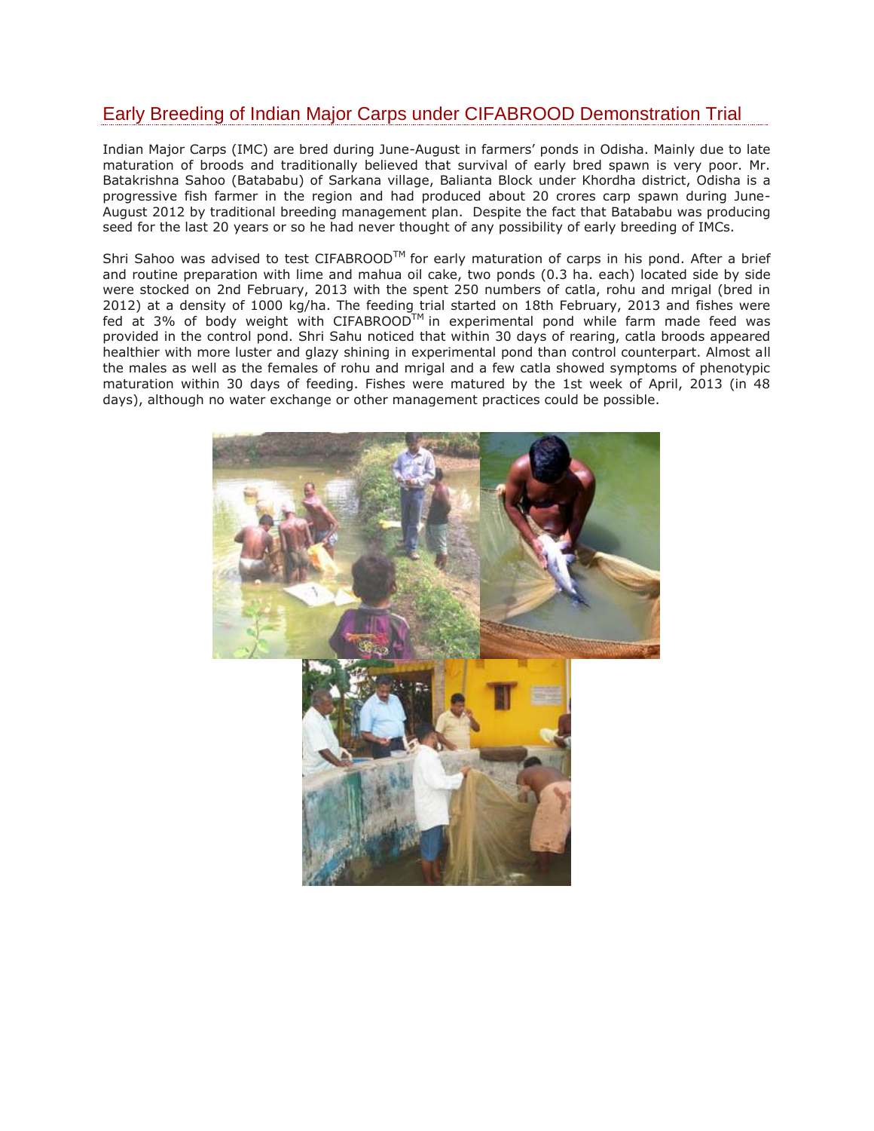## Early Breeding of Indian Major Carps under CIFABROOD Demonstration Trial

Indian Major Carps (IMC) are bred during June-August in farmers' ponds in Odisha. Mainly due to late maturation of broods and traditionally believed that survival of early bred spawn is very poor. Mr. Batakrishna Sahoo (Batababu) of Sarkana village, Balianta Block under Khordha district, Odisha is a progressive fish farmer in the region and had produced about 20 crores carp spawn during June-August 2012 by traditional breeding management plan. Despite the fact that Batababu was producing seed for the last 20 years or so he had never thought of any possibility of early breeding of IMCs.

Shri Sahoo was advised to test CIFABROOD™ for early maturation of carps in his pond. After a brief and routine preparation with lime and mahua oil cake, two ponds (0.3 ha. each) located side by side were stocked on 2nd February, 2013 with the spent 250 numbers of catla, rohu and mrigal (bred in 2012) at a density of 1000 kg/ha. The feeding trial started on 18th February, 2013 and fishes were fed at 3% of body weight with CIFABROOD $\bar{T}^{M}$  in experimental pond while farm made feed was provided in the control pond. Shri Sahu noticed that within 30 days of rearing, catla broods appeared healthier with more luster and glazy shining in experimental pond than control counterpart. Almost all the males as well as the females of rohu and mrigal and a few catla showed symptoms of phenotypic maturation within 30 days of feeding. Fishes were matured by the 1st week of April, 2013 (in 48 days), although no water exchange or other management practices could be possible.